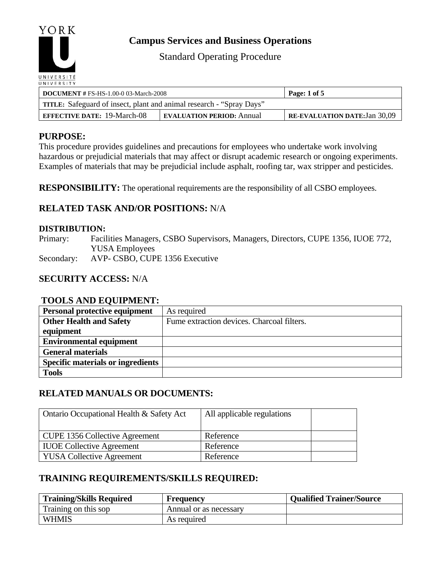

Standard Operating Procedure

| <b>DOCUMENT</b> # FS-HS-1.00-0 03-March-2008                                                    |  | Page: $1 of 5$ |
|-------------------------------------------------------------------------------------------------|--|----------------|
| TITLE: Safeguard of insect, plant and animal research - "Spray Days"                            |  |                |
| EFFECTIVE DATE: 19-March-08<br><b>RE-EVALUATION DATE:Jan 30,09</b><br>EVALUATION PERIOD: Annual |  |                |

### **PURPOSE:**

This procedure provides guidelines and precautions for employees who undertake work involving hazardous or prejudicial materials that may affect or disrupt academic research or ongoing experiments. Examples of materials that may be prejudicial include asphalt, roofing tar, wax stripper and pesticides.

**RESPONSIBILITY:** The operational requirements are the responsibility of all CSBO employees.

## **RELATED TASK AND/OR POSITIONS:** N/A

#### **DISTRIBUTION:**

Primary: Facilities Managers, CSBO Supervisors, Managers, Directors, CUPE 1356, IUOE 772, YUSA Employees

Secondary: AVP- CSBO, CUPE 1356 Executive

### **SECURITY ACCESS:** N/A

### **TOOLS AND EQUIPMENT:**

| <b>Personal protective equipment</b> | As required                                |
|--------------------------------------|--------------------------------------------|
| <b>Other Health and Safety</b>       | Fume extraction devices. Charcoal filters. |
| equipment                            |                                            |
| <b>Environmental equipment</b>       |                                            |
| <b>General materials</b>             |                                            |
| Specific materials or ingredients    |                                            |
| <b>Tools</b>                         |                                            |

## **RELATED MANUALS OR DOCUMENTS:**

| Ontario Occupational Health & Safety Act | All applicable regulations |  |
|------------------------------------------|----------------------------|--|
|                                          |                            |  |
| CUPE 1356 Collective Agreement           | Reference                  |  |
| <b>IUOE Collective Agreement</b>         | Reference                  |  |
| <b>YUSA Collective Agreement</b>         | Reference                  |  |

## **TRAINING REQUIREMENTS/SKILLS REQUIRED:**

| <b>Training/Skills Required</b> | <b>Frequency</b>       | <b>Qualified Trainer/Source</b> |
|---------------------------------|------------------------|---------------------------------|
| Training on this sop            | Annual or as necessary |                                 |
| WHMIS                           | As required            |                                 |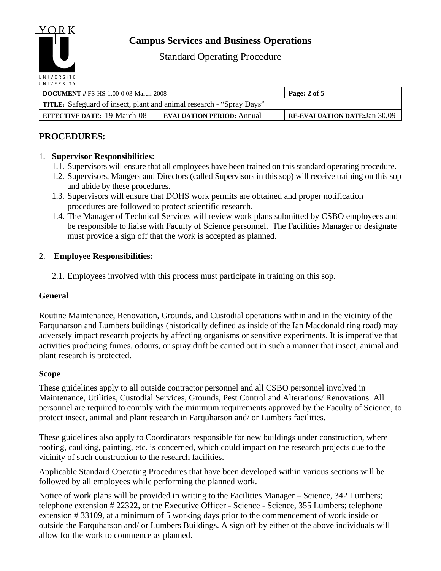

Standard Operating Procedure

| .                                                                    |                                     |                  |  |
|----------------------------------------------------------------------|-------------------------------------|------------------|--|
| $\mid$ DOCUMENT # FS-HS-1.00-0 03-March-2008                         |                                     | Page: $2$ of $5$ |  |
| TITLE: Safeguard of insect, plant and animal research - "Spray Days" |                                     |                  |  |
| EFFECTIVE DATE: 19-March-08                                          | <b>RE-EVALUATION DATE:Jan 30,09</b> |                  |  |

## **PROCEDURES:**

### 1. **Supervisor Responsibilities:**

- 1.1. Supervisors will ensure that all employees have been trained on this standard operating procedure.
- 1.2. Supervisors, Mangers and Directors (called Supervisors in this sop) will receive training on this sop and abide by these procedures.
- 1.3. Supervisors will ensure that DOHS work permits are obtained and proper notification procedures are followed to protect scientific research.
- 1.4. The Manager of Technical Services will review work plans submitted by CSBO employees and be responsible to liaise with Faculty of Science personnel. The Facilities Manager or designate must provide a sign off that the work is accepted as planned.

## 2. **Employee Responsibilities:**

2.1. Employees involved with this process must participate in training on this sop.

## **General**

Routine Maintenance, Renovation, Grounds, and Custodial operations within and in the vicinity of the Farquharson and Lumbers buildings (historically defined as inside of the Ian Macdonald ring road) may adversely impact research projects by affecting organisms or sensitive experiments. It is imperative that activities producing fumes, odours, or spray drift be carried out in such a manner that insect, animal and plant research is protected.

### **Scope**

These guidelines apply to all outside contractor personnel and all CSBO personnel involved in Maintenance, Utilities, Custodial Services, Grounds, Pest Control and Alterations/ Renovations. All personnel are required to comply with the minimum requirements approved by the Faculty of Science, to protect insect, animal and plant research in Farquharson and/ or Lumbers facilities.

These guidelines also apply to Coordinators responsible for new buildings under construction, where roofing, caulking, painting, etc. is concerned, which could impact on the research projects due to the vicinity of such construction to the research facilities.

Applicable Standard Operating Procedures that have been developed within various sections will be followed by all employees while performing the planned work.

Notice of work plans will be provided in writing to the Facilities Manager – Science, 342 Lumbers; telephone extension # 22322, or the Executive Officer - Science - Science, 355 Lumbers; telephone extension # 33109, at a minimum of 5 working days prior to the commencement of work inside or outside the Farquharson and/ or Lumbers Buildings. A sign off by either of the above individuals will allow for the work to commence as planned.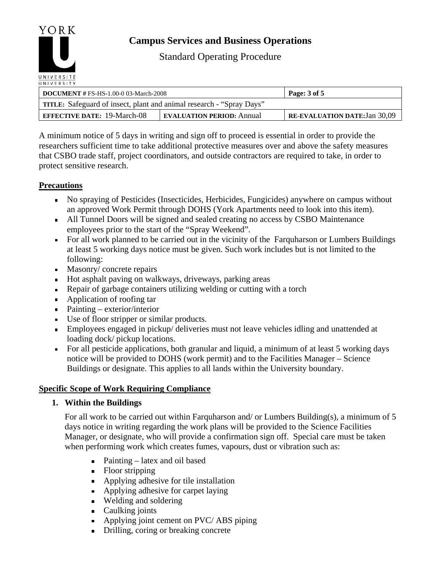

Standard Operating Procedure

| UNIVERSIIT                                                                                             |  |                  |  |
|--------------------------------------------------------------------------------------------------------|--|------------------|--|
| $\mid$ DOCUMENT # FS-HS-1.00-0 03-March-2008                                                           |  | Page: $3$ of $5$ |  |
| TITLE: Safeguard of insect, plant and animal research - "Spray Days"                                   |  |                  |  |
| EFFECTIVE DATE: 19-March-08<br><b>EVALUATION PERIOD: Annual</b><br><b>RE-EVALUATION DATE:Jan 30,09</b> |  |                  |  |

A minimum notice of 5 days in writing and sign off to proceed is essential in order to provide the researchers sufficient time to take additional protective measures over and above the safety measures that CSBO trade staff, project coordinators, and outside contractors are required to take, in order to protect sensitive research.

#### **Precautions**

- No spraying of Pesticides (Insecticides, Herbicides, Fungicides) anywhere on campus without an approved Work Permit through DOHS (York Apartments need to look into this item).
- All Tunnel Doors will be signed and sealed creating no access by CSBO Maintenance employees prior to the start of the "Spray Weekend".
- For all work planned to be carried out in the vicinity of the Farquharson or Lumbers Buildings at least 5 working days notice must be given. Such work includes but is not limited to the following:
- **Masonry/** concrete repairs
- Hot asphalt paving on walkways, driveways, parking areas
- Repair of garbage containers utilizing welding or cutting with a torch
- Application of roofing tar
- Painting exterior/interior
- Use of floor stripper or similar products.
- Employees engaged in pickup/ deliveries must not leave vehicles idling and unattended at loading dock/ pickup locations.
- For all pesticide applications, both granular and liquid, a minimum of at least 5 working days notice will be provided to DOHS (work permit) and to the Facilities Manager – Science Buildings or designate. This applies to all lands within the University boundary.

## **Specific Scope of Work Requiring Compliance**

### **1. Within the Buildings**

For all work to be carried out within Farquharson and/ or Lumbers Building(s), a minimum of 5 days notice in writing regarding the work plans will be provided to the Science Facilities Manager, or designate, who will provide a confirmation sign off. Special care must be taken when performing work which creates fumes, vapours, dust or vibration such as:

- Painting latex and oil based
- Floor stripping
- Applying adhesive for tile installation
- Applying adhesive for carpet laying
- Welding and soldering
- Caulking joints
- Applying joint cement on PVC/ ABS piping
- Drilling, coring or breaking concrete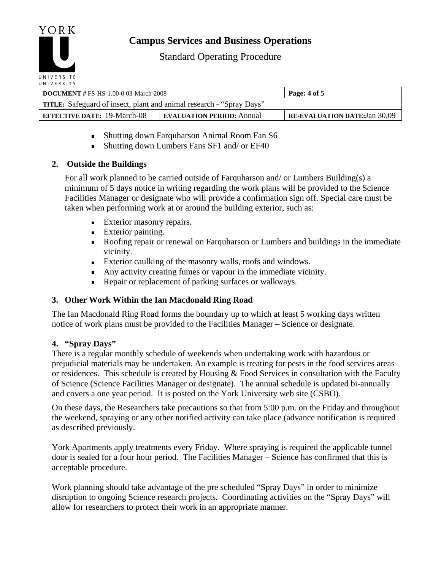

Standard Operating Procedure

| <b>DOCUMENT</b> # FS-HS-1.00-0 03-March-2008                           |                              | Page: 4 of 5 |
|------------------------------------------------------------------------|------------------------------|--------------|
| TITLE: Safeguard of insect, plant and animal research - "Spray Days"   |                              |              |
| <b>EFFECTIVE DATE: 19-March-08</b><br><b>EVALUATION PERIOD: Annual</b> | RE-EVALUATION DATE:Jan 30,09 |              |

- Shutting down Farquharson Animal Room Fan S6
- Shutting down Lumbers Fans SF1 and/ or EF40

### **2. Outside the Buildings**

For all work planned to be carried outside of Farquharson and/ or Lumbers Building(s) a minimum of 5 days notice in writing regarding the work plans will be provided to the Science Facilities Manager or designate who will provide a confirmation sign off. Special care must be taken when performing work at or around the building exterior, such as:

- **Exterior masonry repairs.**
- **Exterior painting.**
- Roofing repair or renewal on Farquharson or Lumbers and buildings in the immediate vicinity.
- Exterior caulking of the masonry walls, roofs and windows.
- Any activity creating fumes or vapour in the immediate vicinity.
- Repair or replacement of parking surfaces or walkways.

## **3. Other Work Within the Ian Macdonald Ring Road**

The Ian Macdonald Ring Road forms the boundary up to which at least 5 working days written notice of work plans must be provided to the Facilities Manager – Science or designate.

### **4. "Spray Days"**

There is a regular monthly schedule of weekends when undertaking work with hazardous or prejudicial materials may be undertaken. An example is treating for pests in the food services areas or residences. This schedule is created by Housing  $&$  Food Services in consultation with the Faculty of Science (Science Facilities Manager or designate). The annual schedule is updated bi-annually and covers a one year period. It is posted on the York University web site (CSBO).

On these days, the Researchers take precautions so that from 5:00 p.m. on the Friday and throughout the weekend, spraying or any other notified activity can take place (advance notification is required as described previously.

York Apartments apply treatments every Friday. Where spraying is required the applicable tunnel door is sealed for a four hour period. The Facilities Manager – Science has confirmed that this is acceptable procedure.

Work planning should take advantage of the pre scheduled "Spray Days" in order to minimize disruption to ongoing Science research projects. Coordinating activities on the "Spray Days" will allow for researchers to protect their work in an appropriate manner.